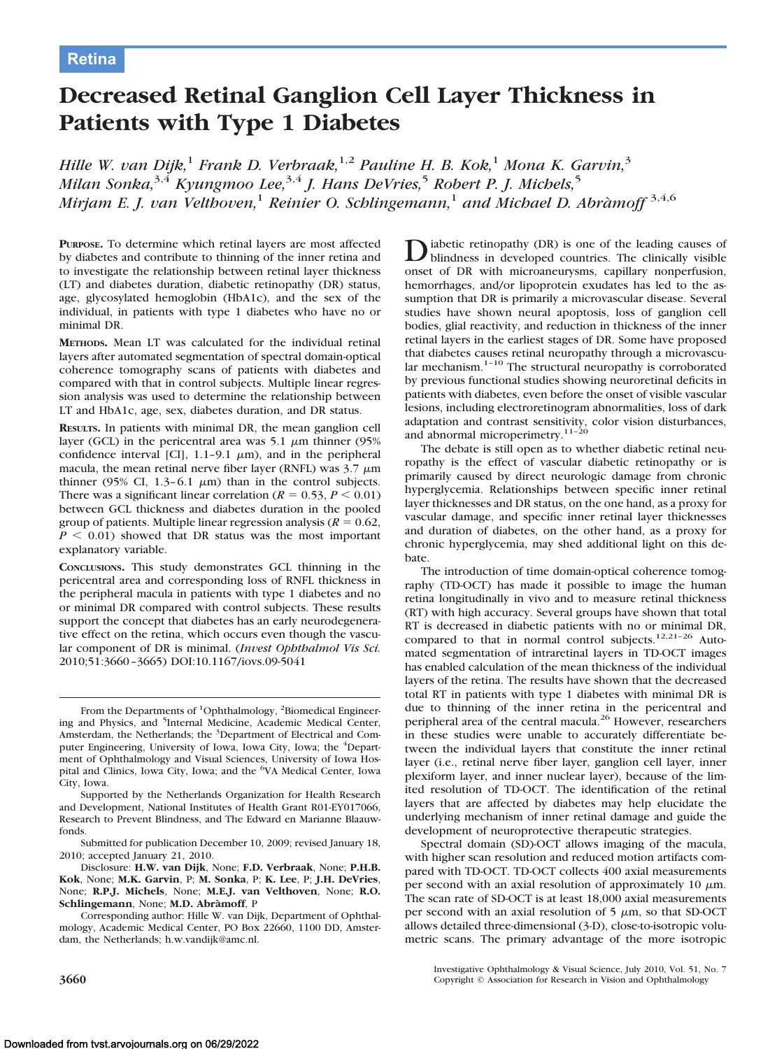# **Decreased Retinal Ganglion Cell Layer Thickness in Patients with Type 1 Diabetes**

*Hille W. van Dijk,*<sup>1</sup> *Frank D. Verbraak,*1,2 *Pauline H. B. Kok,*<sup>1</sup> *Mona K. Garvin,*<sup>3</sup> *Milan Sonka,*3,4 *Kyungmoo Lee,*3,4 *J. Hans DeVries,*<sup>5</sup> *Robert P. J. Michels,*<sup>5</sup> *Mirjam E. J. van Velthoven,*<sup>1</sup> *Reinier O. Schlingemann,*<sup>1</sup> *and Michael D. Abra`moff* 3,4,6

**PURPOSE.** To determine which retinal layers are most affected by diabetes and contribute to thinning of the inner retina and to investigate the relationship between retinal layer thickness (LT) and diabetes duration, diabetic retinopathy (DR) status, age, glycosylated hemoglobin (HbA1c), and the sex of the individual, in patients with type 1 diabetes who have no or minimal DR.

**METHODS.** Mean LT was calculated for the individual retinal layers after automated segmentation of spectral domain-optical coherence tomography scans of patients with diabetes and compared with that in control subjects. Multiple linear regression analysis was used to determine the relationship between LT and HbA1c, age, sex, diabetes duration, and DR status.

**RESULTS.** In patients with minimal DR, the mean ganglion cell layer (GCL) in the pericentral area was  $5.1 \mu m$  thinner (95%) confidence interval [CI], 1.1-9.1  $\mu$ m), and in the peripheral macula, the mean retinal nerve fiber layer (RNFL) was  $3.7 \mu m$ thinner (95% CI, 1.3–6.1  $\mu$ m) than in the control subjects. There was a significant linear correlation ( $R = 0.53, P \le 0.01$ ) between GCL thickness and diabetes duration in the pooled group of patients. Multiple linear regression analysis ( $R = 0.62$ ,  $P < 0.01$ ) showed that DR status was the most important explanatory variable.

**CONCLUSIONS.** This study demonstrates GCL thinning in the pericentral area and corresponding loss of RNFL thickness in the peripheral macula in patients with type 1 diabetes and no or minimal DR compared with control subjects. These results support the concept that diabetes has an early neurodegenerative effect on the retina, which occurs even though the vascular component of DR is minimal. (*Invest Ophthalmol Vis Sci.* 2010;51:3660 –3665) DOI:10.1167/iovs.09-5041

From the Departments of <sup>1</sup>Ophthalmology, <sup>2</sup>Biomedical Engineering and Physics, and <sup>5</sup>Internal Medicine, Academic Medical Center, Amsterdam, the Netherlands; the <sup>3</sup>Department of Electrical and Computer Engineering, University of Iowa, Iowa City, Iowa; the <sup>4</sup>Department of Ophthalmology and Visual Sciences, University of Iowa Hospital and Clinics, Iowa City, Iowa; and the <sup>6</sup>VA Medical Center, Iowa City, Iowa.

Supported by the Netherlands Organization for Health Research and Development, National Institutes of Health Grant R01-EY017066, Research to Prevent Blindness, and The Edward en Marianne Blaauwfonds.

Submitted for publication December 10, 2009; revised January 18, 2010; accepted January 21, 2010.

Disclosure: **H.W. van Dijk**, None; **F.D. Verbraak**, None; **P.H.B. Kok**, None; **M.K. Garvin**, P; **M. Sonka**, P; **K. Lee**, P; **J.H. DeVries**, None; **R.P.J. Michels**, None; **M.E.J. van Velthoven**, None; **R.O. Schlingemann**, None; **M.D. Abra`moff**, P

Corresponding author: Hille W. van Dijk, Department of Ophthalmology, Academic Medical Center, PO Box 22660, 1100 DD, Amsterdam, the Netherlands; h.w.vandijk@amc.nl.

Diabetic retinopathy (DR) is one of the leading causes of blindness in developed countries. The clinically visible onset of DR with microaneurysms, capillary nonperfusion, hemorrhages, and/or lipoprotein exudates has led to the assumption that DR is primarily a microvascular disease. Several studies have shown neural apoptosis, loss of ganglion cell bodies, glial reactivity, and reduction in thickness of the inner retinal layers in the earliest stages of DR. Some have proposed that diabetes causes retinal neuropathy through a microvascular mechanism. $1-10$  The structural neuropathy is corroborated by previous functional studies showing neuroretinal deficits in patients with diabetes, even before the onset of visible vascular lesions, including electroretinogram abnormalities, loss of dark adaptation and contrast sensitivity, color vision disturbances, and abnormal microperimetry.<sup>11-20</sup>

The debate is still open as to whether diabetic retinal neuropathy is the effect of vascular diabetic retinopathy or is primarily caused by direct neurologic damage from chronic hyperglycemia. Relationships between specific inner retinal layer thicknesses and DR status, on the one hand, as a proxy for vascular damage, and specific inner retinal layer thicknesses and duration of diabetes, on the other hand, as a proxy for chronic hyperglycemia, may shed additional light on this debate.

The introduction of time domain-optical coherence tomography (TD-OCT) has made it possible to image the human retina longitudinally in vivo and to measure retinal thickness (RT) with high accuracy. Several groups have shown that total RT is decreased in diabetic patients with no or minimal DR, compared to that in normal control subjects.<sup>12,21-26</sup> Automated segmentation of intraretinal layers in TD-OCT images has enabled calculation of the mean thickness of the individual layers of the retina. The results have shown that the decreased total RT in patients with type 1 diabetes with minimal DR is due to thinning of the inner retina in the pericentral and peripheral area of the central macula.<sup>26</sup> However, researchers in these studies were unable to accurately differentiate between the individual layers that constitute the inner retinal layer (i.e., retinal nerve fiber layer, ganglion cell layer, inner plexiform layer, and inner nuclear layer), because of the limited resolution of TD-OCT. The identification of the retinal layers that are affected by diabetes may help elucidate the underlying mechanism of inner retinal damage and guide the development of neuroprotective therapeutic strategies.

Spectral domain (SD)-OCT allows imaging of the macula, with higher scan resolution and reduced motion artifacts compared with TD-OCT. TD-OCT collects 400 axial measurements per second with an axial resolution of approximately 10  $\mu$ m. The scan rate of SD-OCT is at least 18,000 axial measurements per second with an axial resolution of  $5 \mu m$ , so that SD-OCT allows detailed three-dimensional (3-D), close-to-isotropic volumetric scans. The primary advantage of the more isotropic

Investigative Ophthalmology & Visual Science, July 2010, Vol. 51, No. 7 **3660** Copyright © Association for Research in Vision and Ophthalmology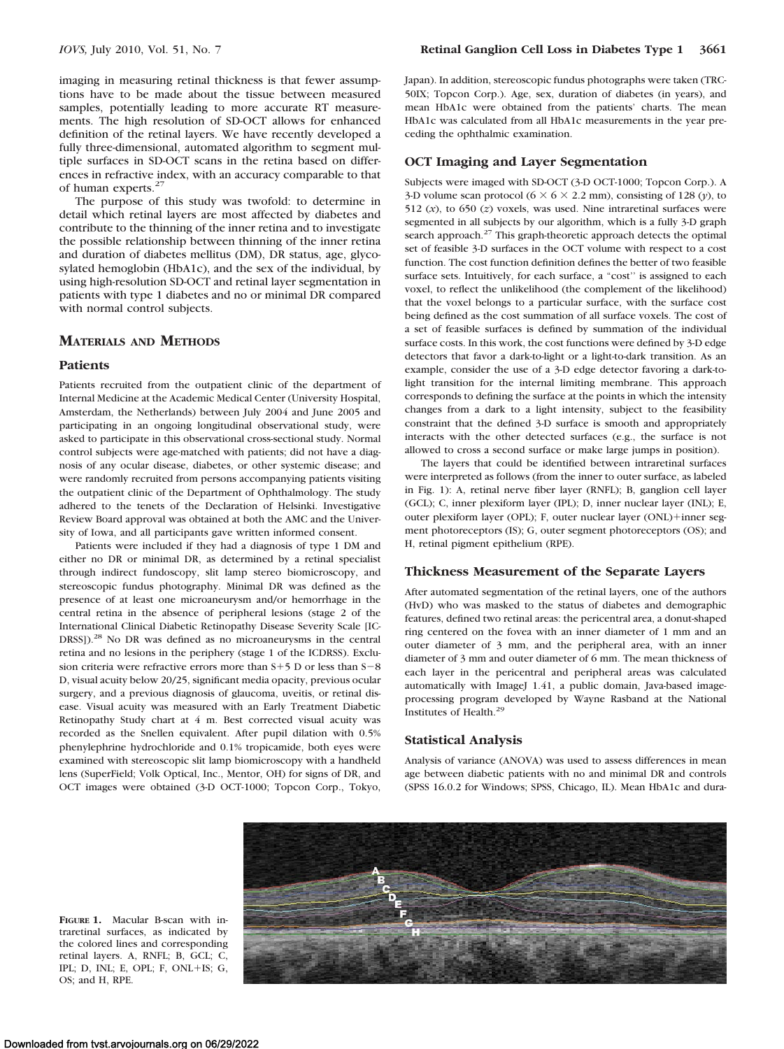imaging in measuring retinal thickness is that fewer assumptions have to be made about the tissue between measured samples, potentially leading to more accurate RT measurements. The high resolution of SD-OCT allows for enhanced definition of the retinal layers. We have recently developed a fully three-dimensional, automated algorithm to segment multiple surfaces in SD-OCT scans in the retina based on differences in refractive index, with an accuracy comparable to that of human experts.<sup>27</sup>

The purpose of this study was twofold: to determine in detail which retinal layers are most affected by diabetes and contribute to the thinning of the inner retina and to investigate the possible relationship between thinning of the inner retina and duration of diabetes mellitus (DM), DR status, age, glycosylated hemoglobin (HbA1c), and the sex of the individual, by using high-resolution SD-OCT and retinal layer segmentation in patients with type 1 diabetes and no or minimal DR compared with normal control subjects.

## **MATERIALS AND METHODS**

#### **Patients**

Patients recruited from the outpatient clinic of the department of Internal Medicine at the Academic Medical Center (University Hospital, Amsterdam, the Netherlands) between July 2004 and June 2005 and participating in an ongoing longitudinal observational study, were asked to participate in this observational cross-sectional study. Normal control subjects were age-matched with patients; did not have a diagnosis of any ocular disease, diabetes, or other systemic disease; and were randomly recruited from persons accompanying patients visiting the outpatient clinic of the Department of Ophthalmology. The study adhered to the tenets of the Declaration of Helsinki. Investigative Review Board approval was obtained at both the AMC and the University of Iowa, and all participants gave written informed consent.

Patients were included if they had a diagnosis of type 1 DM and either no DR or minimal DR, as determined by a retinal specialist through indirect fundoscopy, slit lamp stereo biomicroscopy, and stereoscopic fundus photography. Minimal DR was defined as the presence of at least one microaneurysm and/or hemorrhage in the central retina in the absence of peripheral lesions (stage 2 of the International Clinical Diabetic Retinopathy Disease Severity Scale [IC-DRSS]).<sup>28</sup> No DR was defined as no microaneurysms in the central retina and no lesions in the periphery (stage 1 of the ICDRSS). Exclusion criteria were refractive errors more than  $S+5$  D or less than  $S-8$ D, visual acuity below 20/25, significant media opacity, previous ocular surgery, and a previous diagnosis of glaucoma, uveitis, or retinal disease. Visual acuity was measured with an Early Treatment Diabetic Retinopathy Study chart at 4 m. Best corrected visual acuity was recorded as the Snellen equivalent. After pupil dilation with 0.5% phenylephrine hydrochloride and 0.1% tropicamide, both eyes were examined with stereoscopic slit lamp biomicroscopy with a handheld lens (SuperField; Volk Optical, Inc., Mentor, OH) for signs of DR, and OCT images were obtained (3-D OCT-1000; Topcon Corp., Tokyo,

Japan). In addition, stereoscopic fundus photographs were taken (TRC-50IX; Topcon Corp.). Age, sex, duration of diabetes (in years), and mean HbA1c were obtained from the patients' charts. The mean HbA1c was calculated from all HbA1c measurements in the year preceding the ophthalmic examination.

# **OCT Imaging and Layer Segmentation**

Subjects were imaged with SD-OCT (3-D OCT-1000; Topcon Corp.). A 3-D volume scan protocol ( $6 \times 6 \times 2.2$  mm), consisting of 128 (*y*), to 512  $(x)$ , to 650  $(z)$  voxels, was used. Nine intraretinal surfaces were segmented in all subjects by our algorithm, which is a fully 3-D graph search approach.<sup>27</sup> This graph-theoretic approach detects the optimal set of feasible 3-D surfaces in the OCT volume with respect to a cost function. The cost function definition defines the better of two feasible surface sets. Intuitively, for each surface, a "cost'' is assigned to each voxel, to reflect the unlikelihood (the complement of the likelihood) that the voxel belongs to a particular surface, with the surface cost being defined as the cost summation of all surface voxels. The cost of a set of feasible surfaces is defined by summation of the individual surface costs. In this work, the cost functions were defined by 3-D edge detectors that favor a dark-to-light or a light-to-dark transition. As an example, consider the use of a 3-D edge detector favoring a dark-tolight transition for the internal limiting membrane. This approach corresponds to defining the surface at the points in which the intensity changes from a dark to a light intensity, subject to the feasibility constraint that the defined 3-D surface is smooth and appropriately interacts with the other detected surfaces (e.g., the surface is not allowed to cross a second surface or make large jumps in position).

The layers that could be identified between intraretinal surfaces were interpreted as follows (from the inner to outer surface, as labeled in Fig. 1): A, retinal nerve fiber layer (RNFL); B, ganglion cell layer (GCL); C, inner plexiform layer (IPL); D, inner nuclear layer (INL); E, outer plexiform layer (OPL); F, outer nuclear layer (ONL)+inner segment photoreceptors (IS); G, outer segment photoreceptors (OS); and H, retinal pigment epithelium (RPE).

## **Thickness Measurement of the Separate Layers**

After automated segmentation of the retinal layers, one of the authors (HvD) who was masked to the status of diabetes and demographic features, defined two retinal areas: the pericentral area, a donut-shaped ring centered on the fovea with an inner diameter of 1 mm and an outer diameter of 3 mm, and the peripheral area, with an inner diameter of 3 mm and outer diameter of 6 mm. The mean thickness of each layer in the pericentral and peripheral areas was calculated automatically with ImageJ 1.41, a public domain, Java-based imageprocessing program developed by Wayne Rasband at the National Institutes of Health.29

## **Statistical Analysis**

Analysis of variance (ANOVA) was used to assess differences in mean age between diabetic patients with no and minimal DR and controls (SPSS 16.0.2 for Windows; SPSS, Chicago, IL). Mean HbA1c and dura-



**FIGURE 1.** Macular B-scan with intraretinal surfaces, as indicated by the colored lines and corresponding retinal layers. A, RNFL; B, GCL; C, IPL; D, INL; E, OPL; F, ONL+IS; G, OS; and H, RPE.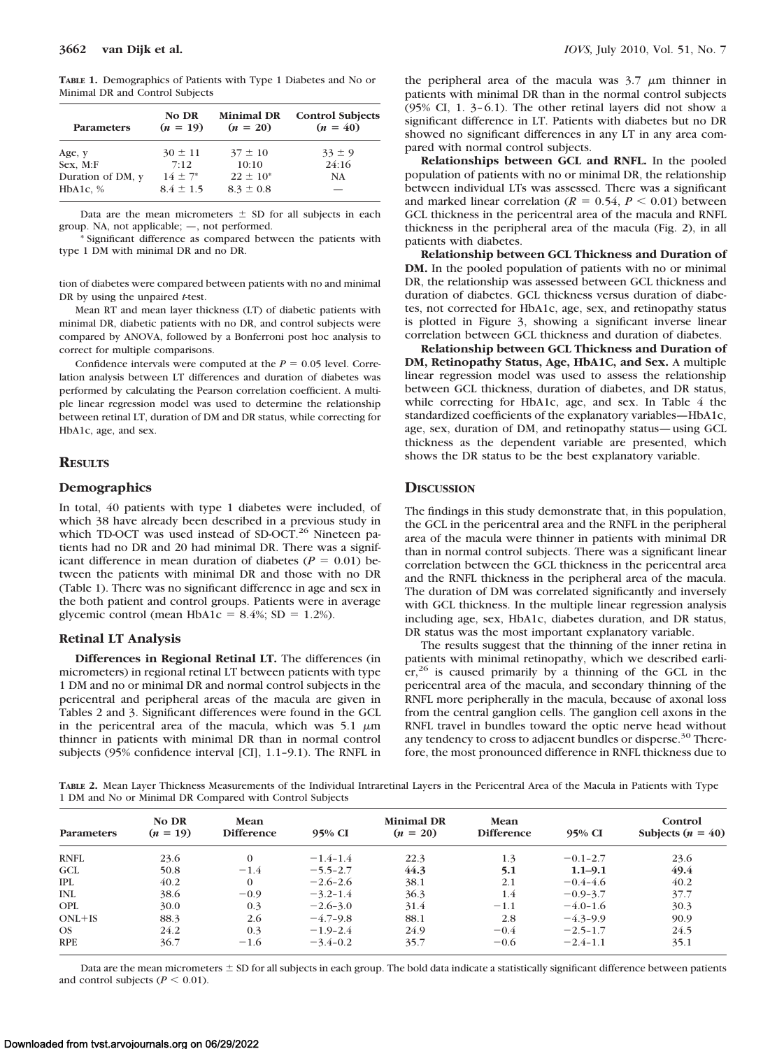**TABLE 1.** Demographics of Patients with Type 1 Diabetes and No or Minimal DR and Control Subjects

| <b>Parameters</b> | No DR         | <b>Minimal DR</b> | <b>Control Subjects</b> |
|-------------------|---------------|-------------------|-------------------------|
|                   | $(n = 19)$    | $(n = 20)$        | $(n = 40)$              |
| Age, y            | $30 \pm 11$   | $37 \pm 10$       | $33 \pm 9$              |
| Sex, M:F          | 7:12          | 10:10             | 24:16                   |
| Duration of DM, y | $14 \pm 7^*$  | $22 \pm 10^*$     | NA                      |
| HbA1c, $%$        | $8.4 \pm 1.5$ | $8.3 \pm 0.8$     |                         |

Data are the mean micrometers  $\pm$  SD for all subjects in each group. NA, not applicable; —, not performed.

\* Significant difference as compared between the patients with type 1 DM with minimal DR and no DR.

tion of diabetes were compared between patients with no and minimal DR by using the unpaired *t*-test.

Mean RT and mean layer thickness (LT) of diabetic patients with minimal DR, diabetic patients with no DR, and control subjects were compared by ANOVA, followed by a Bonferroni post hoc analysis to correct for multiple comparisons.

Confidence intervals were computed at the  $P = 0.05$  level. Correlation analysis between LT differences and duration of diabetes was performed by calculating the Pearson correlation coefficient. A multiple linear regression model was used to determine the relationship between retinal LT, duration of DM and DR status, while correcting for HbA1c, age, and sex.

## **RESULTS**

## **Demographics**

In total, 40 patients with type 1 diabetes were included, of which 38 have already been described in a previous study in which TD-OCT was used instead of SD-OCT.<sup>26</sup> Nineteen patients had no DR and 20 had minimal DR. There was a significant difference in mean duration of diabetes  $(P = 0.01)$  between the patients with minimal DR and those with no DR (Table 1). There was no significant difference in age and sex in the both patient and control groups. Patients were in average glycemic control (mean HbA1c =  $8.4\%$ ; SD = 1.2%).

#### **Retinal LT Analysis**

**Differences in Regional Retinal LT.** The differences (in micrometers) in regional retinal LT between patients with type 1 DM and no or minimal DR and normal control subjects in the pericentral and peripheral areas of the macula are given in Tables 2 and 3. Significant differences were found in the GCL in the pericentral area of the macula, which was  $5.1 \mu m$ thinner in patients with minimal DR than in normal control subjects (95% confidence interval [CI], 1.1–9.1). The RNFL in the peripheral area of the macula was  $3.7 \mu m$  thinner in patients with minimal DR than in the normal control subjects (95% CI, 1.  $3-6.1$ ). The other retinal layers did not show a significant difference in LT. Patients with diabetes but no DR showed no significant differences in any LT in any area compared with normal control subjects.

**Relationships between GCL and RNFL.** In the pooled population of patients with no or minimal DR, the relationship between individual LTs was assessed. There was a significant and marked linear correlation  $(R = 0.54, P \le 0.01)$  between GCL thickness in the pericentral area of the macula and RNFL thickness in the peripheral area of the macula (Fig. 2), in all patients with diabetes.

**Relationship between GCL Thickness and Duration of DM.** In the pooled population of patients with no or minimal DR, the relationship was assessed between GCL thickness and duration of diabetes. GCL thickness versus duration of diabetes, not corrected for HbA1c, age, sex, and retinopathy status is plotted in Figure 3, showing a significant inverse linear correlation between GCL thickness and duration of diabetes.

**Relationship between GCL Thickness and Duration of DM, Retinopathy Status, Age, HbA1C, and Sex.** A multiple linear regression model was used to assess the relationship between GCL thickness, duration of diabetes, and DR status, while correcting for HbA1c, age, and sex. In Table 4 the standardized coefficients of the explanatory variables—HbA1c, age, sex, duration of DM, and retinopathy status— using GCL thickness as the dependent variable are presented, which shows the DR status to be the best explanatory variable.

## **DISCUSSION**

The findings in this study demonstrate that, in this population, the GCL in the pericentral area and the RNFL in the peripheral area of the macula were thinner in patients with minimal DR than in normal control subjects. There was a significant linear correlation between the GCL thickness in the pericentral area and the RNFL thickness in the peripheral area of the macula. The duration of DM was correlated significantly and inversely with GCL thickness. In the multiple linear regression analysis including age, sex, HbA1c, diabetes duration, and DR status, DR status was the most important explanatory variable.

The results suggest that the thinning of the inner retina in patients with minimal retinopathy, which we described earli $er<sub>1</sub><sup>26</sup>$  is caused primarily by a thinning of the GCL in the pericentral area of the macula, and secondary thinning of the RNFL more peripherally in the macula, because of axonal loss from the central ganglion cells. The ganglion cell axons in the RNFL travel in bundles toward the optic nerve head without any tendency to cross to adjacent bundles or disperse.<sup>30</sup> Therefore, the most pronounced difference in RNFL thickness due to

**TABLE 2.** Mean Layer Thickness Measurements of the Individual Intraretinal Layers in the Pericentral Area of the Macula in Patients with Type 1 DM and No or Minimal DR Compared with Control Subjects

| <b>Parameters</b> | No DR<br>$(n = 19)$ | Mean<br><b>Difference</b> | 95% CI       | <b>Minimal DR</b><br>$(n = 20)$ | <b>Mean</b><br><b>Difference</b> | 95% CI       | <b>Control</b><br>Subjects $(n = 40)$ |
|-------------------|---------------------|---------------------------|--------------|---------------------------------|----------------------------------|--------------|---------------------------------------|
| <b>RNFL</b>       | 23.6                | $\Omega$                  | $-1.4 - 1.4$ | 22.3                            | 1.3                              | $-0.1 - 2.7$ | 23.6                                  |
| <b>GCL</b>        | 50.8                | $-1.4$                    | $-5.5 - 2.7$ | 44.3                            | 5.1                              | $1.1 - 9.1$  | 49.4                                  |
| <b>IPL</b>        | 40.2                | $\Omega$                  | $-2.6 - 2.6$ | 38.1                            | 2.1                              | $-0.4 - 4.6$ | 40.2                                  |
| <b>INL</b>        | 38.6                | $-0.9$                    | $-3.2 - 1.4$ | 36.3                            | 1.4                              | $-0.9-3.7$   | 37.7                                  |
| <b>OPL</b>        | 30.0                | 0.3                       | $-2.6 - 3.0$ | 31.4                            | $-1.1$                           | $-4.0 - 1.6$ | 30.3                                  |
| $ONL+IS$          | 88.3                | 2.6                       | $-4.7-9.8$   | 88.1                            | 2.8                              | $-4.3 - 9.9$ | 90.9                                  |
| OS.               | 24.2                | 0.3                       | $-1.9-2.4$   | 24.9                            | $-0.4$                           | $-2.5 - 1.7$ | 24.5                                  |
| <b>RPE</b>        | 36.7                | $-1.6$                    | $-3.4-0.2$   | 35.7                            | $-0.6$                           | $-2.4-1.1$   | 35.1                                  |

Data are the mean micrometers  $\pm$  SD for all subjects in each group. The bold data indicate a statistically significant difference between patients and control subjects ( $P \leq 0.01$ ).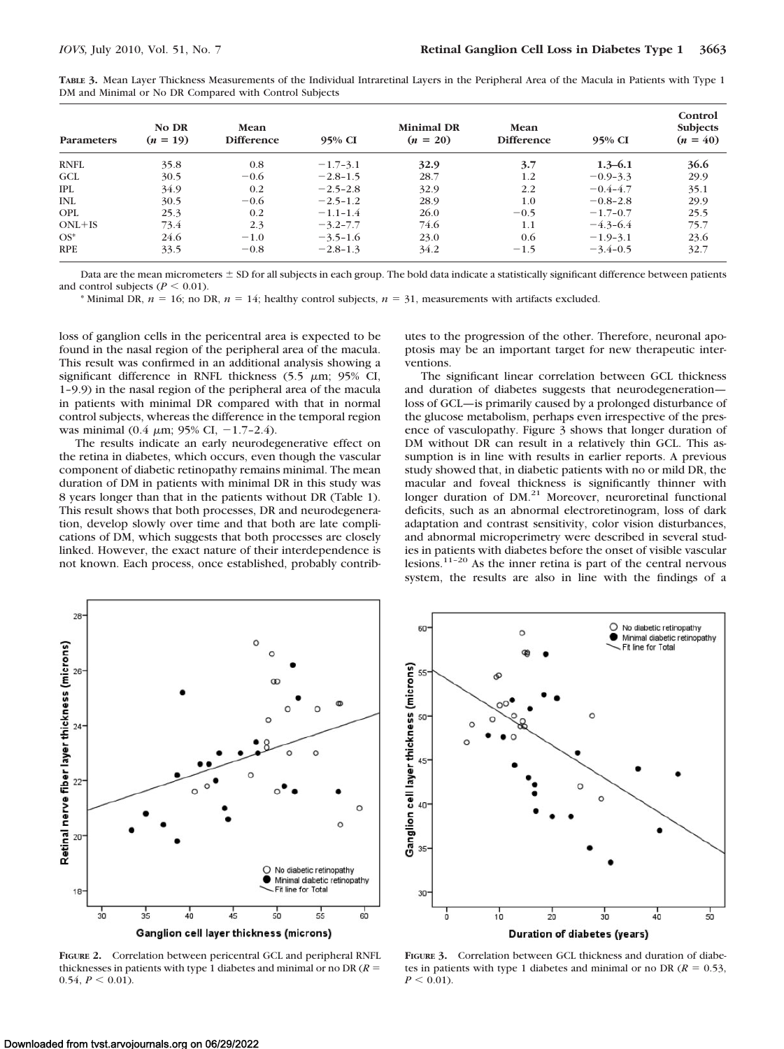| TABLE 3. Mean Layer Thickness Measurements of the Individual Intraretinal Layers in the Peripheral Area of the Macula in Patients with Type 1 |  |  |  |  |  |
|-----------------------------------------------------------------------------------------------------------------------------------------------|--|--|--|--|--|
| DM and Minimal or No DR Compared with Control Subjects                                                                                        |  |  |  |  |  |

| <b>Parameters</b> | <b>No DR</b><br>$(n = 19)$ | Mean<br><b>Difference</b> | 95% CI       | <b>Minimal DR</b><br>$(n = 20)$ | Mean<br><b>Difference</b> | 95% CI       | Control<br><b>Subjects</b><br>$(n = 40)$ |
|-------------------|----------------------------|---------------------------|--------------|---------------------------------|---------------------------|--------------|------------------------------------------|
| <b>RNFL</b>       | 35.8                       | 0.8                       | $-1.7-3.1$   | 32.9                            | 3.7                       | $1.3 - 6.1$  | 36.6                                     |
| GCL               | 30.5                       | $-0.6$                    | $-2.8-1.5$   | 28.7                            | 1.2                       | $-0.9-3.3$   | 29.9                                     |
| <b>IPL</b>        | 34.9                       | 0.2                       | $-2.5 - 2.8$ | 32.9                            | 2.2                       | $-0.4 - 4.7$ | 35.1                                     |
| <b>INL</b>        | 30.5                       | $-0.6$                    | $-2.5 - 1.2$ | 28.9                            | 1.0                       | $-0.8 - 2.8$ | 29.9                                     |
| <b>OPL</b>        | 25.3                       | 0.2                       | $-1.1 - 1.4$ | 26.0                            | $-0.5$                    | $-1.7-0.7$   | 25.5                                     |
| $ONL+IS$          | 73.4                       | 2.3                       | $-3.2 - 7.7$ | 74.6                            | 1.1                       | $-4.3 - 6.4$ | 75.7                                     |
| $OS^*$            | 24.6                       | $-1.0$                    | $-3.5 - 1.6$ | 23.0                            | 0.6                       | $-1.9-3.1$   | 23.6                                     |
| <b>RPE</b>        | 33.5                       | $-0.8$                    | $-2.8-1.3$   | 34.2                            | $-1.5$                    | $-3.4-0.5$   | 32.7                                     |

Data are the mean micrometers  $\pm$  SD for all subjects in each group. The bold data indicate a statistically significant difference between patients and control subjects ( $P \leq 0.01$ ).

\* Minimal DR,  $n = 16$ ; no DR,  $n = 14$ ; healthy control subjects,  $n = 31$ , measurements with artifacts excluded.

loss of ganglion cells in the pericentral area is expected to be found in the nasal region of the peripheral area of the macula. This result was confirmed in an additional analysis showing a significant difference in RNFL thickness  $(5.5 \mu m; 95\% \text{ CI},$ 1–9.9) in the nasal region of the peripheral area of the macula in patients with minimal DR compared with that in normal control subjects, whereas the difference in the temporal region was minimal (0.4  $\mu$ m; 95% CI, -1.7-2.4).

The results indicate an early neurodegenerative effect on the retina in diabetes, which occurs, even though the vascular component of diabetic retinopathy remains minimal. The mean duration of DM in patients with minimal DR in this study was 8 years longer than that in the patients without DR (Table 1). This result shows that both processes, DR and neurodegeneration, develop slowly over time and that both are late complications of DM, which suggests that both processes are closely linked. However, the exact nature of their interdependence is not known. Each process, once established, probably contributes to the progression of the other. Therefore, neuronal apoptosis may be an important target for new therapeutic interventions.

The significant linear correlation between GCL thickness and duration of diabetes suggests that neurodegeneration loss of GCL—is primarily caused by a prolonged disturbance of the glucose metabolism, perhaps even irrespective of the presence of vasculopathy. Figure 3 shows that longer duration of DM without DR can result in a relatively thin GCL. This assumption is in line with results in earlier reports. A previous study showed that, in diabetic patients with no or mild DR, the macular and foveal thickness is significantly thinner with longer duration of DM.<sup>21</sup> Moreover, neuroretinal functional deficits, such as an abnormal electroretinogram, loss of dark adaptation and contrast sensitivity, color vision disturbances, and abnormal microperimetry were described in several studies in patients with diabetes before the onset of visible vascular lesions.11–20 As the inner retina is part of the central nervous system, the results are also in line with the findings of a



**FIGURE 2.** Correlation between pericentral GCL and peripheral RNFL thicknesses in patients with type 1 diabetes and minimal or no DR (*R*  $0.54, P \leq 0.01$ ).



**FIGURE 3.** Correlation between GCL thickness and duration of diabetes in patients with type 1 diabetes and minimal or no DR ( $R = 0.53$ ,  $P < 0.01$ ).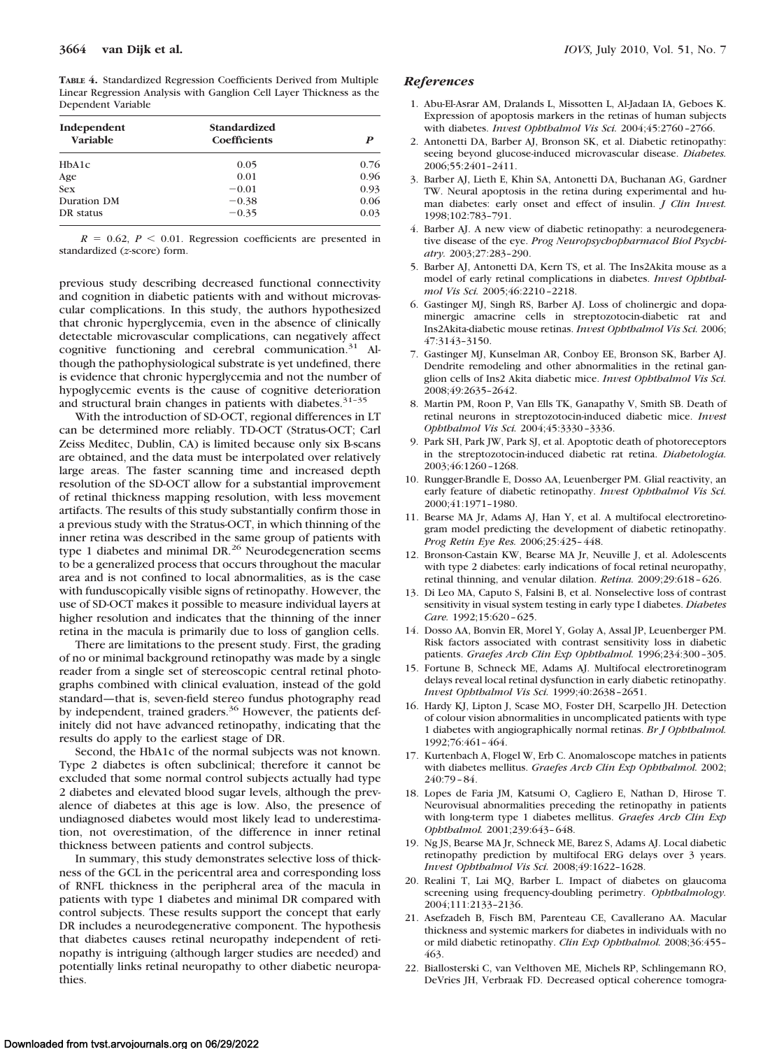**TABLE 4.** Standardized Regression Coefficients Derived from Multiple Linear Regression Analysis with Ganglion Cell Layer Thickness as the Dependent Variable

| Independent     | <b>Standardized</b> |      |
|-----------------|---------------------|------|
| <b>Variable</b> | <b>Coefficients</b> | P    |
| HbA1c           | 0.05                | 0.76 |
| Age             | 0.01                | 0.96 |
| <b>Sex</b>      | $-0.01$             | 0.93 |
| Duration DM     | $-0.38$             | 0.06 |
| DR status       | $-0.35$             | 0.03 |

 $R = 0.62$ ,  $P \le 0.01$ . Regression coefficients are presented in standardized (*z*-score) form.

previous study describing decreased functional connectivity and cognition in diabetic patients with and without microvascular complications. In this study, the authors hypothesized that chronic hyperglycemia, even in the absence of clinically detectable microvascular complications, can negatively affect cognitive functioning and cerebral communication.<sup>31</sup> Although the pathophysiological substrate is yet undefined, there is evidence that chronic hyperglycemia and not the number of hypoglycemic events is the cause of cognitive deterioration and structural brain changes in patients with diabetes.<sup>31-35</sup>

With the introduction of SD-OCT, regional differences in LT can be determined more reliably. TD-OCT (Stratus-OCT; Carl Zeiss Meditec, Dublin, CA) is limited because only six B-scans are obtained, and the data must be interpolated over relatively large areas. The faster scanning time and increased depth resolution of the SD-OCT allow for a substantial improvement of retinal thickness mapping resolution, with less movement artifacts. The results of this study substantially confirm those in a previous study with the Stratus-OCT, in which thinning of the inner retina was described in the same group of patients with type 1 diabetes and minimal DR.<sup>26</sup> Neurodegeneration seems to be a generalized process that occurs throughout the macular area and is not confined to local abnormalities, as is the case with funduscopically visible signs of retinopathy. However, the use of SD-OCT makes it possible to measure individual layers at higher resolution and indicates that the thinning of the inner retina in the macula is primarily due to loss of ganglion cells.

There are limitations to the present study. First, the grading of no or minimal background retinopathy was made by a single reader from a single set of stereoscopic central retinal photographs combined with clinical evaluation, instead of the gold standard—that is, seven-field stereo fundus photography read by independent, trained graders.<sup>36</sup> However, the patients definitely did not have advanced retinopathy, indicating that the results do apply to the earliest stage of DR.

Second, the HbA1c of the normal subjects was not known. Type 2 diabetes is often subclinical; therefore it cannot be excluded that some normal control subjects actually had type 2 diabetes and elevated blood sugar levels, although the prevalence of diabetes at this age is low. Also, the presence of undiagnosed diabetes would most likely lead to underestimation, not overestimation, of the difference in inner retinal thickness between patients and control subjects.

In summary, this study demonstrates selective loss of thickness of the GCL in the pericentral area and corresponding loss of RNFL thickness in the peripheral area of the macula in patients with type 1 diabetes and minimal DR compared with control subjects. These results support the concept that early DR includes a neurodegenerative component. The hypothesis that diabetes causes retinal neuropathy independent of retinopathy is intriguing (although larger studies are needed) and potentially links retinal neuropathy to other diabetic neuropathies.

#### *References*

- 1. Abu-El-Asrar AM, Dralands L, Missotten L, Al-Jadaan IA, Geboes K. Expression of apoptosis markers in the retinas of human subjects with diabetes. *Invest Ophthalmol Vis Sci.* 2004;45:2760 –2766.
- 2. Antonetti DA, Barber AJ, Bronson SK, et al. Diabetic retinopathy: seeing beyond glucose-induced microvascular disease. *Diabetes.* 2006;55:2401–2411.
- 3. Barber AJ, Lieth E, Khin SA, Antonetti DA, Buchanan AG, Gardner TW. Neural apoptosis in the retina during experimental and human diabetes: early onset and effect of insulin. *J Clin Invest.* 1998;102:783–791.
- 4. Barber AJ. A new view of diabetic retinopathy: a neurodegenerative disease of the eye. *Prog Neuropsychopharmacol Biol Psychiatry.* 2003;27:283–290.
- 5. Barber AJ, Antonetti DA, Kern TS, et al. The Ins2Akita mouse as a model of early retinal complications in diabetes. *Invest Ophthalmol Vis Sci.* 2005;46:2210 –2218.
- 6. Gastinger MJ, Singh RS, Barber AJ. Loss of cholinergic and dopaminergic amacrine cells in streptozotocin-diabetic rat and Ins2Akita-diabetic mouse retinas. *Invest Ophthalmol Vis Sci.* 2006; 47:3143–3150.
- 7. Gastinger MJ, Kunselman AR, Conboy EE, Bronson SK, Barber AJ. Dendrite remodeling and other abnormalities in the retinal ganglion cells of Ins2 Akita diabetic mice. *Invest Ophthalmol Vis Sci.* 2008;49:2635–2642.
- 8. Martin PM, Roon P, Van Ells TK, Ganapathy V, Smith SB. Death of retinal neurons in streptozotocin-induced diabetic mice. *Invest Ophthalmol Vis Sci.* 2004;45:3330 –3336.
- 9. Park SH, Park JW, Park SJ, et al. Apoptotic death of photoreceptors in the streptozotocin-induced diabetic rat retina. *Diabetologia.* 2003;46:1260 –1268.
- 10. Rungger-Brandle E, Dosso AA, Leuenberger PM. Glial reactivity, an early feature of diabetic retinopathy. *Invest Ophthalmol Vis Sci.* 2000;41:1971–1980.
- 11. Bearse MA Jr, Adams AJ, Han Y, et al. A multifocal electroretinogram model predicting the development of diabetic retinopathy. *Prog Retin Eye Res.* 2006;25:425– 448.
- 12. Bronson-Castain KW, Bearse MA Jr, Neuville J, et al. Adolescents with type 2 diabetes: early indications of focal retinal neuropathy, retinal thinning, and venular dilation. *Retina.* 2009;29:618 – 626.
- 13. Di Leo MA, Caputo S, Falsini B, et al. Nonselective loss of contrast sensitivity in visual system testing in early type I diabetes. *Diabetes Care.* 1992;15:620 – 625.
- 14. Dosso AA, Bonvin ER, Morel Y, Golay A, Assal JP, Leuenberger PM. Risk factors associated with contrast sensitivity loss in diabetic patients. *Graefes Arch Clin Exp Ophthalmol.* 1996;234:300 –305.
- 15. Fortune B, Schneck ME, Adams AJ. Multifocal electroretinogram delays reveal local retinal dysfunction in early diabetic retinopathy. *Invest Ophthalmol Vis Sci.* 1999;40:2638 –2651.
- 16. Hardy KJ, Lipton J, Scase MO, Foster DH, Scarpello JH. Detection of colour vision abnormalities in uncomplicated patients with type 1 diabetes with angiographically normal retinas. *Br J Ophthalmol.* 1992;76:461– 464.
- 17. Kurtenbach A, Flogel W, Erb C. Anomaloscope matches in patients with diabetes mellitus. *Graefes Arch Clin Exp Ophthalmol.* 2002; 240:79 – 84.
- 18. Lopes de Faria JM, Katsumi O, Cagliero E, Nathan D, Hirose T. Neurovisual abnormalities preceding the retinopathy in patients with long-term type 1 diabetes mellitus. *Graefes Arch Clin Exp Ophthalmol.* 2001;239:643– 648.
- 19. Ng JS, Bearse MA Jr, Schneck ME, Barez S, Adams AJ. Local diabetic retinopathy prediction by multifocal ERG delays over 3 years. *Invest Ophthalmol Vis Sci.* 2008;49:1622–1628.
- 20. Realini T, Lai MQ, Barber L. Impact of diabetes on glaucoma screening using frequency-doubling perimetry. *Ophthalmology.* 2004;111:2133–2136.
- 21. Asefzadeh B, Fisch BM, Parenteau CE, Cavallerano AA. Macular thickness and systemic markers for diabetes in individuals with no or mild diabetic retinopathy. *Clin Exp Ophthalmol.* 2008;36:455– 463.
- 22. Biallosterski C, van Velthoven ME, Michels RP, Schlingemann RO, DeVries JH, Verbraak FD. Decreased optical coherence tomogra-